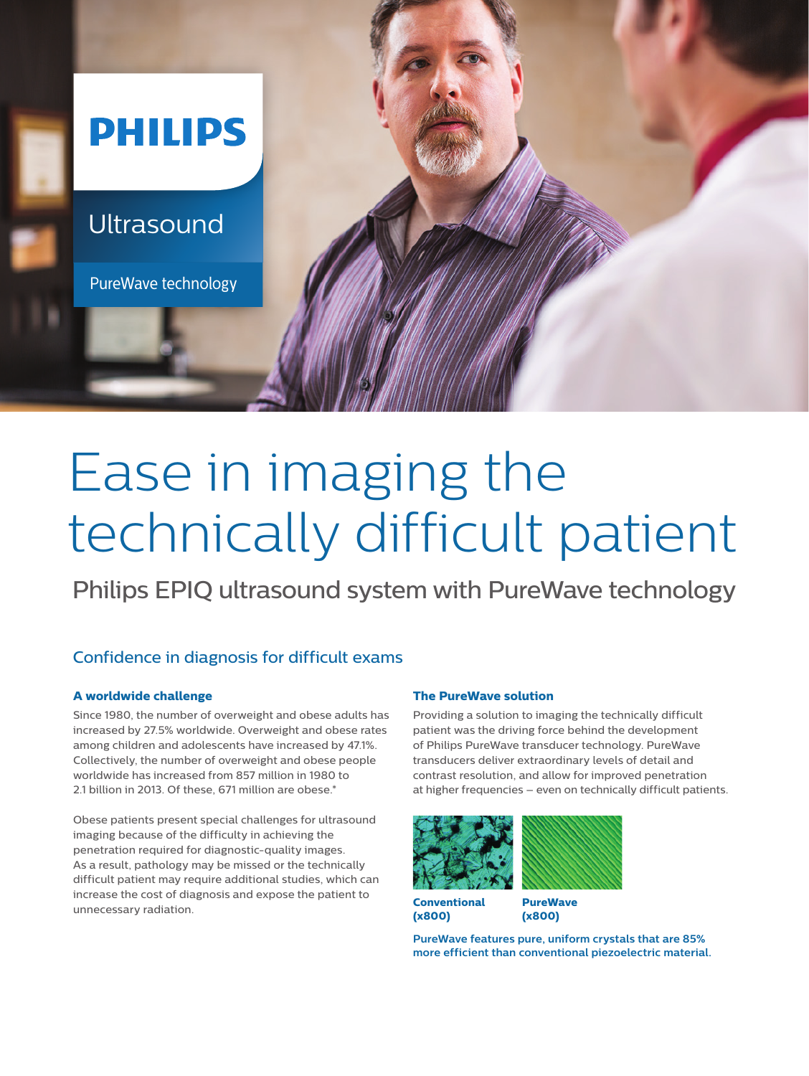

# Ease in imaging the technically difficult patient

Philips EPIQ ultrasound system with PureWave technology

### Confidence in diagnosis for difficult exams

#### **A worldwide challenge**

Since 1980, the number of overweight and obese adults has increased by 27.5% worldwide. Overweight and obese rates among children and adolescents have increased by 47.1%. Collectively, the number of overweight and obese people worldwide has increased from 857 million in 1980 to 2.1 billion in 2013. Of these, 671 million are obese.<sup>\*</sup>

Obese patients present special challenges for ultrasound imaging because of the difficulty in achieving the penetration required for diagnostic-quality images. As a result, pathology may be missed or the technically difficult patient may require additional studies, which can increase the cost of diagnosis and expose the patient to unnecessary radiation.

#### **The PureWave solution**

Providing a solution to imaging the technically difficult patient was the driving force behind the development of Philips PureWave transducer technology. PureWave transducers deliver extraordinary levels of detail and contrast resolution, and allow for improved penetration at higher frequencies – even on technically difficult patients.



**Conventional (x800)**

**PureWave** 

**(x800)**

**PureWave features pure, uniform crystals that are 85% more efficient than conventional piezoelectric material.**